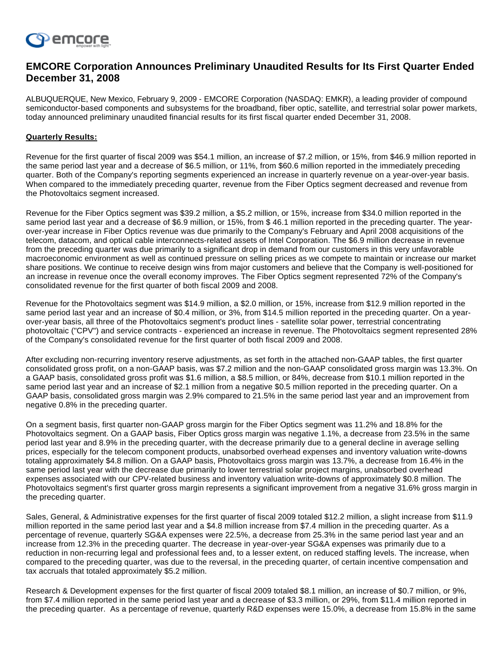

# **EMCORE Corporation Announces Preliminary Unaudited Results for Its First Quarter Ended December 31, 2008**

ALBUQUERQUE, New Mexico, February 9, 2009 - EMCORE Corporation (NASDAQ: EMKR), a leading provider of compound semiconductor-based components and subsystems for the broadband, fiber optic, satellite, and terrestrial solar power markets, today announced preliminary unaudited financial results for its first fiscal quarter ended December 31, 2008.

## **Quarterly Results:**

Revenue for the first quarter of fiscal 2009 was \$54.1 million, an increase of \$7.2 million, or 15%, from \$46.9 million reported in the same period last year and a decrease of \$6.5 million, or 11%, from \$60.6 million reported in the immediately preceding quarter. Both of the Company's reporting segments experienced an increase in quarterly revenue on a year-over-year basis. When compared to the immediately preceding quarter, revenue from the Fiber Optics segment decreased and revenue from the Photovoltaics segment increased.

Revenue for the Fiber Optics segment was \$39.2 million, a \$5.2 million, or 15%, increase from \$34.0 million reported in the same period last year and a decrease of \$6.9 million, or 15%, from \$ 46.1 million reported in the preceding quarter. The yearover-year increase in Fiber Optics revenue was due primarily to the Company's February and April 2008 acquisitions of the telecom, datacom, and optical cable interconnects-related assets of Intel Corporation. The \$6.9 million decrease in revenue from the preceding quarter was due primarily to a significant drop in demand from our customers in this very unfavorable macroeconomic environment as well as continued pressure on selling prices as we compete to maintain or increase our market share positions. We continue to receive design wins from major customers and believe that the Company is well-positioned for an increase in revenue once the overall economy improves. The Fiber Optics segment represented 72% of the Company's consolidated revenue for the first quarter of both fiscal 2009 and 2008.

Revenue for the Photovoltaics segment was \$14.9 million, a \$2.0 million, or 15%, increase from \$12.9 million reported in the same period last year and an increase of \$0.4 million, or 3%, from \$14.5 million reported in the preceding quarter. On a yearover-year basis, all three of the Photovoltaics segment's product lines - satellite solar power, terrestrial concentrating photovoltaic ("CPV") and service contracts - experienced an increase in revenue. The Photovoltaics segment represented 28% of the Company's consolidated revenue for the first quarter of both fiscal 2009 and 2008.

After excluding non-recurring inventory reserve adjustments, as set forth in the attached non-GAAP tables, the first quarter consolidated gross profit, on a non-GAAP basis, was \$7.2 million and the non-GAAP consolidated gross margin was 13.3%. On a GAAP basis, consolidated gross profit was \$1.6 million, a \$8.5 million, or 84%, decrease from \$10.1 million reported in the same period last year and an increase of \$2.1 million from a negative \$0.5 million reported in the preceding quarter. On a GAAP basis, consolidated gross margin was 2.9% compared to 21.5% in the same period last year and an improvement from negative 0.8% in the preceding quarter.

On a segment basis, first quarter non-GAAP gross margin for the Fiber Optics segment was 11.2% and 18.8% for the Photovoltaics segment. On a GAAP basis, Fiber Optics gross margin was negative 1.1%, a decrease from 23.5% in the same period last year and 8.9% in the preceding quarter, with the decrease primarily due to a general decline in average selling prices, especially for the telecom component products, unabsorbed overhead expenses and inventory valuation write-downs totaling approximately \$4.8 million. On a GAAP basis, Photovoltaics gross margin was 13.7%, a decrease from 16.4% in the same period last year with the decrease due primarily to lower terrestrial solar project margins, unabsorbed overhead expenses associated with our CPV-related business and inventory valuation write-downs of approximately \$0.8 million. The Photovoltaics segment's first quarter gross margin represents a significant improvement from a negative 31.6% gross margin in the preceding quarter.

Sales, General, & Administrative expenses for the first quarter of fiscal 2009 totaled \$12.2 million, a slight increase from \$11.9 million reported in the same period last year and a \$4.8 million increase from \$7.4 million in the preceding quarter. As a percentage of revenue, quarterly SG&A expenses were 22.5%, a decrease from 25.3% in the same period last year and an increase from 12.3% in the preceding quarter. The decrease in year-over-year SG&A expenses was primarily due to a reduction in non-recurring legal and professional fees and, to a lesser extent, on reduced staffing levels. The increase, when compared to the preceding quarter, was due to the reversal, in the preceding quarter, of certain incentive compensation and tax accruals that totaled approximately \$5.2 million.

Research & Development expenses for the first quarter of fiscal 2009 totaled \$8.1 million, an increase of \$0.7 million, or 9%, from \$7.4 million reported in the same period last year and a decrease of \$3.3 million, or 29%, from \$11.4 million reported in the preceding quarter.As a percentage of revenue, quarterly R&D expenses were 15.0%, a decrease from 15.8% in the same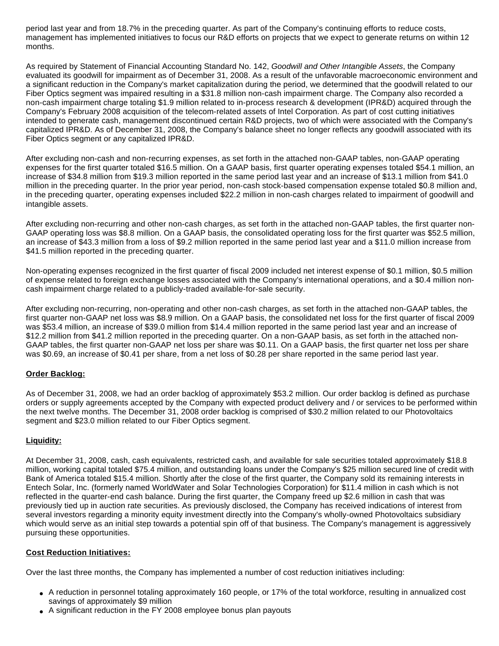period last year and from 18.7% in the preceding quarter. As part of the Company's continuing efforts to reduce costs, management has implemented initiatives to focus our R&D efforts on projects that we expect to generate returns on within 12 months.

As required by Statement of Financial Accounting Standard No. 142, Goodwill and Other Intangible Assets, the Company evaluated its goodwill for impairment as of December 31, 2008. As a result of the unfavorable macroeconomic environment and a significant reduction in the Company's market capitalization during the period, we determined that the goodwill related to our Fiber Optics segment was impaired resulting in a \$31.8 million non-cash impairment charge. The Company also recorded a non-cash impairment charge totaling \$1.9 million related to in-process research & development (IPR&D) acquired through the Company's February 2008 acquisition of the telecom-related assets of Intel Corporation. As part of cost cutting initiatives intended to generate cash, management discontinued certain R&D projects, two of which were associated with the Company's capitalized IPR&D. As of December 31, 2008, the Company's balance sheet no longer reflects any goodwill associated with its Fiber Optics segment or any capitalized IPR&D.

After excluding non-cash and non-recurring expenses, as set forth in the attached non-GAAP tables, non-GAAP operating expenses for the first quarter totaled \$16.5 million. On a GAAP basis, first quarter operating expenses totaled \$54.1 million, an increase of \$34.8 million from \$19.3 million reported in the same period last year and an increase of \$13.1 million from \$41.0 million in the preceding quarter. In the prior year period, non-cash stock-based compensation expense totaled \$0.8 million and, in the preceding quarter, operating expenses included \$22.2 million in non-cash charges related to impairment of goodwill and intangible assets.

After excluding non-recurring and other non-cash charges, as set forth in the attached non-GAAP tables, the first quarter non-GAAP operating loss was \$8.8 million. On a GAAP basis, the consolidated operating loss for the first quarter was \$52.5 million, an increase of \$43.3 million from a loss of \$9.2 million reported in the same period last year and a \$11.0 million increase from \$41.5 million reported in the preceding quarter.

Non-operating expenses recognized in the first quarter of fiscal 2009 included net interest expense of \$0.1 million, \$0.5 million of expense related to foreign exchange losses associated with the Company's international operations, and a \$0.4 million noncash impairment charge related to a publicly-traded available-for-sale security.

After excluding non-recurring, non-operating and other non-cash charges, as set forth in the attached non-GAAP tables, the first quarter non-GAAP net loss was \$8.9 million. On a GAAP basis, the consolidated net loss for the first quarter of fiscal 2009 was \$53.4 million, an increase of \$39.0 million from \$14.4 million reported in the same period last year and an increase of \$12.2 million from \$41.2 million reported in the preceding quarter. On a non-GAAP basis, as set forth in the attached non-GAAP tables, the first quarter non-GAAP net loss per share was \$0.11. On a GAAP basis, the first quarter net loss per share was \$0.69, an increase of \$0.41 per share, from a net loss of \$0.28 per share reported in the same period last year.

### **Order Backlog:**

As of December 31, 2008, we had an order backlog of approximately \$53.2 million. Our order backlog is defined as purchase orders or supply agreements accepted by the Company with expected product delivery and / or services to be performed within the next twelve months. The December 31, 2008 order backlog is comprised of \$30.2 million related to our Photovoltaics segment and \$23.0 million related to our Fiber Optics segment.

## **Liquidity:**

At December 31, 2008, cash, cash equivalents, restricted cash, and available for sale securities totaled approximately \$18.8 million, working capital totaled \$75.4 million, and outstanding loans under the Company's \$25 million secured line of credit with Bank of America totaled \$15.4 million. Shortly after the close of the first quarter, the Company sold its remaining interests in Entech Solar, Inc. (formerly named WorldWater and Solar Technologies Corporation) for \$11.4 million in cash which is not reflected in the quarter-end cash balance. During the first quarter, the Company freed up \$2.6 million in cash that was previously tied up in auction rate securities. As previously disclosed, the Company has received indications of interest from several investors regarding a minority equity investment directly into the Company's wholly-owned Photovoltaics subsidiary which would serve as an initial step towards a potential spin off of that business. The Company's management is aggressively pursuing these opportunities.

### **Cost Reduction Initiatives:**

Over the last three months, the Company has implemented a number of cost reduction initiatives including:

- A reduction in personnel totaling approximately 160 people, or 17% of the total workforce, resulting in annualized cost savings of approximately \$9 million
- A significant reduction in the FY 2008 employee bonus plan payouts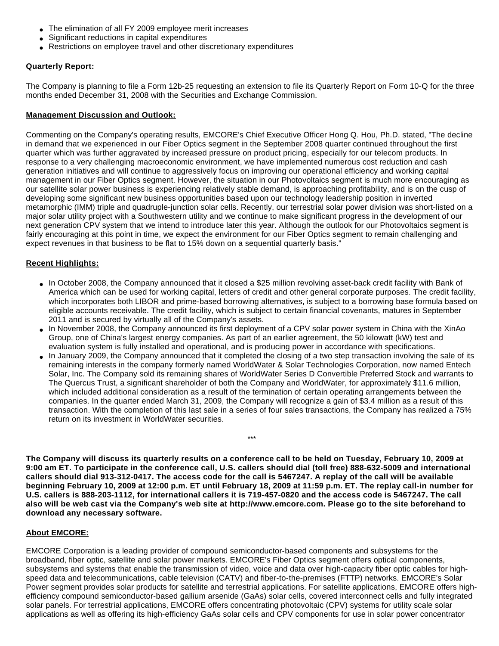- The elimination of all FY 2009 employee merit increases
- Significant reductions in capital expenditures
- Restrictions on employee travel and other discretionary expenditures

## **Quarterly Report:**

The Company is planning to file a Form 12b-25 requesting an extension to file its Quarterly Report on Form 10-Q for the three months ended December 31, 2008 with the Securities and Exchange Commission.

#### **Management Discussion and Outlook:**

Commenting on the Company's operating results, EMCORE's Chief Executive Officer Hong Q. Hou, Ph.D. stated, "The decline in demand that we experienced in our Fiber Optics segment in the September 2008 quarter continued throughout the first quarter which was further aggravated by increased pressure on product pricing, especially for our telecom products. In response to a very challenging macroeconomic environment, we have implemented numerous cost reduction and cash generation initiatives and will continue to aggressively focus on improving our operational efficiency and working capital management in our Fiber Optics segment. However, the situation in our Photovoltaics segment is much more encouraging as our satellite solar power business is experiencing relatively stable demand, is approaching profitability, and is on the cusp of developing some significant new business opportunities based upon our technology leadership position in inverted metamorphic (IMM) triple and quadruple-junction solar cells. Recently, our terrestrial solar power division was short-listed on a major solar utility project with a Southwestern utility and we continue to make significant progress in the development of our next generation CPV system that we intend to introduce later this year. Although the outlook for our Photovoltaics segment is fairly encouraging at this point in time, we expect the environment for our Fiber Optics segment to remain challenging and expect revenues in that business to be flat to 15% down on a sequential quarterly basis."

## **Recent Highlights:**

- In October 2008, the Company announced that it closed a \$25 million revolving asset-back credit facility with Bank of America which can be used for working capital, letters of credit and other general corporate purposes. The credit facility, which incorporates both LIBOR and prime-based borrowing alternatives, is subject to a borrowing base formula based on eligible accounts receivable. The credit facility, which is subject to certain financial covenants, matures in September 2011 and is secured by virtually all of the Company's assets.
- In November 2008, the Company announced its first deployment of a CPV solar power system in China with the XinAo Group, one of China's largest energy companies. As part of an earlier agreement, the 50 kilowatt (kW) test and evaluation system is fully installed and operational, and is producing power in accordance with specifications.
- In January 2009, the Company announced that it completed the closing of a two step transaction involving the sale of its remaining interests in the company formerly named WorldWater & Solar Technologies Corporation, now named Entech Solar, Inc. The Company sold its remaining shares of WorldWater Series D Convertible Preferred Stock and warrants to The Quercus Trust, a significant shareholder of both the Company and WorldWater, for approximately \$11.6 million, which included additional consideration as a result of the termination of certain operating arrangements between the companies. In the quarter ended March 31, 2009, the Company will recognize a gain of \$3.4 million as a result of this transaction. With the completion of this last sale in a series of four sales transactions, the Company has realized a 75% return on its investment in WorldWater securities.

**The Company will discuss its quarterly results on a conference call to be held on Tuesday, February 10, 2009 at 9:00 am ET. To participate in the conference call, U.S. callers should dial (toll free) 888-632-5009 and international callers should dial 913-312-0417. The access code for the call is 5467247. A replay of the call will be available beginning February 10, 2009 at 12:00 p.m. ET until February 18, 2009 at 11:59 p.m. ET. The replay call-in number for U.S. callers is 888-203-1112, for international callers it is 719-457-0820 and the access code is 5467247. The call also will be web cast via the Company's web site at http://www.emcore.com. Please go to the site beforehand to download any necessary software.**

\*\*\*

### **About EMCORE:**

EMCORE Corporation is a leading provider of compound semiconductor-based components and subsystems for the broadband, fiber optic, satellite and solar power markets. EMCORE's Fiber Optics segment offers optical components, subsystems and systems that enable the transmission of video, voice and data over high-capacity fiber optic cables for highspeed data and telecommunications, cable television (CATV) and fiber-to-the-premises (FTTP) networks. EMCORE's Solar Power segment provides solar products for satellite and terrestrial applications. For satellite applications, EMCORE offers highefficiency compound semiconductor-based gallium arsenide (GaAs) solar cells, covered interconnect cells and fully integrated solar panels. For terrestrial applications, EMCORE offers concentrating photovoltaic (CPV) systems for utility scale solar applications as well as offering its high-efficiency GaAs solar cells and CPV components for use in solar power concentrator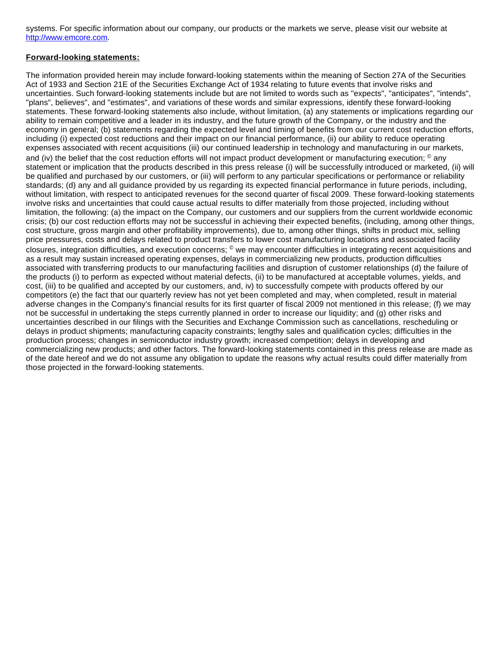systems. For specific information about our company, our products or the markets we serve, please visit our website at [http://www.emcore.com.](http://www.emcore.com/)

### **Forward-looking statements:**

The information provided herein may include forward-looking statements within the meaning of Section 27A of the Securities Act of 1933 and Section 21E of the Securities Exchange Act of 1934 relating to future events that involve risks and uncertainties. Such forward-looking statements include but are not limited to words such as "expects", "anticipates", "intends", "plans", believes", and "estimates", and variations of these words and similar expressions, identify these forward-looking statements. These forward-looking statements also include, without limitation, (a) any statements or implications regarding our ability to remain competitive and a leader in its industry, and the future growth of the Company, or the industry and the economy in general; (b) statements regarding the expected level and timing of benefits from our current cost reduction efforts, including (i) expected cost reductions and their impact on our financial performance, (ii) our ability to reduce operating expenses associated with recent acquisitions (iii) our continued leadership in technology and manufacturing in our markets, and (iv) the belief that the cost reduction efforts will not impact product development or manufacturing execution;  $\degree$  any statement or implication that the products described in this press release (i) will be successfully introduced or marketed, (ii) will be qualified and purchased by our customers, or (iii) will perform to any particular specifications or performance or reliability standards; (d) any and all guidance provided by us regarding its expected financial performance in future periods, including, without limitation, with respect to anticipated revenues for the second quarter of fiscal 2009. These forward-looking statements involve risks and uncertainties that could cause actual results to differ materially from those projected, including without limitation, the following: (a) the impact on the Company, our customers and our suppliers from the current worldwide economic crisis; (b) our cost reduction efforts may not be successful in achieving their expected benefits, (including, among other things, cost structure, gross margin and other profitability improvements), due to, among other things, shifts in product mix, selling price pressures, costs and delays related to product transfers to lower cost manufacturing locations and associated facility closures, integration difficulties, and execution concerns; © we may encounter difficulties in integrating recent acquisitions and as a result may sustain increased operating expenses, delays in commercializing new products, production difficulties associated with transferring products to our manufacturing facilities and disruption of customer relationships (d) the failure of the products (i) to perform as expected without material defects, (ii) to be manufactured at acceptable volumes, yields, and cost, (iii) to be qualified and accepted by our customers, and, iv) to successfully compete with products offered by our competitors (e) the fact that our quarterly review has not yet been completed and may, when completed, result in material adverse changes in the Company's financial results for its first quarter of fiscal 2009 not mentioned in this release; (f) we may not be successful in undertaking the steps currently planned in order to increase our liquidity; and (g) other risks and uncertainties described in our filings with the Securities and Exchange Commission such as cancellations, rescheduling or delays in product shipments; manufacturing capacity constraints; lengthy sales and qualification cycles; difficulties in the production process; changes in semiconductor industry growth; increased competition; delays in developing and commercializing new products; and other factors. The forward-looking statements contained in this press release are made as of the date hereof and we do not assume any obligation to update the reasons why actual results could differ materially from those projected in the forward-looking statements.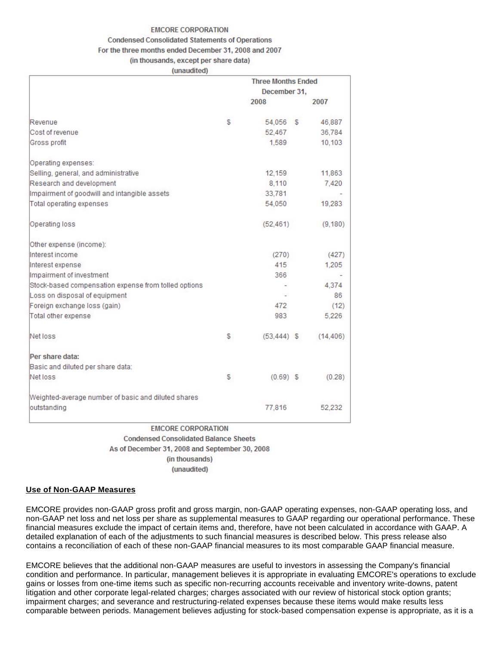#### **EMCORE CORPORATION**

**Condensed Consolidated Statements of Operations** For the three months ended December 31, 2008 and 2007

(in thousands, except per share data)

(unaudited)

|                                                      |              | <b>Three Months Ended</b> |      |           |  |
|------------------------------------------------------|--------------|---------------------------|------|-----------|--|
|                                                      |              | December 31.              |      |           |  |
|                                                      |              | 2008                      |      | 2007      |  |
| Revenue                                              | $\mathbb{S}$ | 54,056 \$                 |      | 46,887    |  |
| Cost of revenue                                      |              | 52,467                    |      | 36,784    |  |
| Gross profit                                         |              | 1,589                     |      | 10,103    |  |
| Operating expenses:                                  |              |                           |      |           |  |
| Selling, general, and administrative                 |              | 12,159                    |      | 11,863    |  |
| Research and development                             |              | 8,110                     |      | 7,420     |  |
| Impairment of goodwill and intangible assets         |              | 33,781                    |      |           |  |
| Total operating expenses                             |              | 54.050                    |      | 19,283    |  |
| Operating loss                                       |              | (52, 461)                 |      | (9, 180)  |  |
| Other expense (income):                              |              |                           |      |           |  |
| Interest income                                      |              | (270)                     |      | (427)     |  |
| Interest expense                                     |              | 415                       |      | 1,205     |  |
| Impairment of investment                             |              | 366                       |      |           |  |
| Stock-based compensation expense from tolled options |              |                           |      | 4.374     |  |
| Loss on disposal of equipment                        |              |                           | 86   |           |  |
| Foreign exchange loss (gain)                         |              | 472                       | (12) |           |  |
| Total other expense                                  |              | 983                       |      | 5,226     |  |
| Net loss                                             | \$           | $(53, 444)$ \$            |      | (14, 406) |  |
| Per share data:                                      |              |                           |      |           |  |
| Basic and diluted per share data:                    |              |                           |      |           |  |
| Net loss                                             | \$           | $(0.69)$ \$               |      | (0.28)    |  |
| Weighted-average number of basic and diluted shares  |              |                           |      |           |  |
| outstanding                                          |              | 77,816                    |      | 52,232    |  |

**EMCORE CORPORATION Condensed Consolidated Balance Sheets** As of December 31, 2008 and September 30, 2008 (in thousands) (unaudited)

#### **Use of Non-GAAP Measures**

EMCORE provides non-GAAP gross profit and gross margin, non-GAAP operating expenses, non-GAAP operating loss, and non-GAAP net loss and net loss per share as supplemental measures to GAAP regarding our operational performance. These financial measures exclude the impact of certain items and, therefore, have not been calculated in accordance with GAAP. A detailed explanation of each of the adjustments to such financial measures is described below. This press release also contains a reconciliation of each of these non-GAAP financial measures to its most comparable GAAP financial measure.

EMCORE believes that the additional non-GAAP measures are useful to investors in assessing the Company's financial condition and performance. In particular, management believes it is appropriate in evaluating EMCORE's operations to exclude gains or losses from one-time items such as specific non-recurring accounts receivable and inventory write-downs, patent litigation and other corporate legal-related charges; charges associated with our review of historical stock option grants; impairment charges; and severance and restructuring-related expenses because these items would make results less comparable between periods. Management believes adjusting for stock-based compensation expense is appropriate, as it is a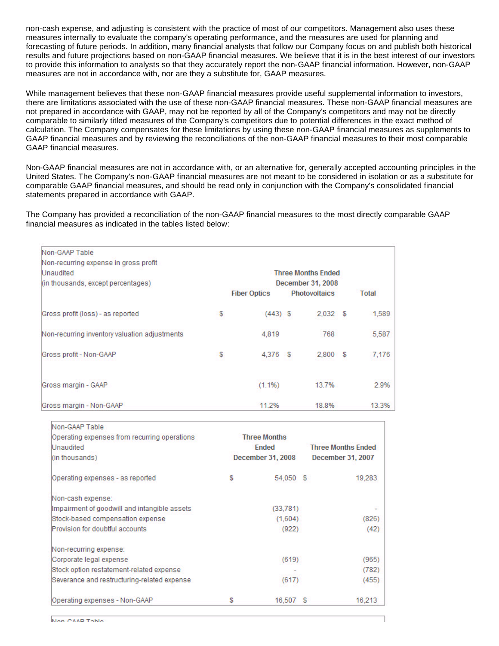non-cash expense, and adjusting is consistent with the practice of most of our competitors. Management also uses these measures internally to evaluate the company's operating performance, and the measures are used for planning and forecasting of future periods. In addition, many financial analysts that follow our Company focus on and publish both historical results and future projections based on non-GAAP financial measures. We believe that it is in the best interest of our investors to provide this information to analysts so that they accurately report the non-GAAP financial information. However, non-GAAP measures are not in accordance with, nor are they a substitute for, GAAP measures.

While management believes that these non-GAAP financial measures provide useful supplemental information to investors, there are limitations associated with the use of these non-GAAP financial measures. These non-GAAP financial measures are not prepared in accordance with GAAP, may not be reported by all of the Company's competitors and may not be directly comparable to similarly titled measures of the Company's competitors due to potential differences in the exact method of calculation. The Company compensates for these limitations by using these non-GAAP financial measures as supplements to GAAP financial measures and by reviewing the reconciliations of the non-GAAP financial measures to their most comparable GAAP financial measures.

Non-GAAP financial measures are not in accordance with, or an alternative for, generally accepted accounting principles in the United States. The Company's non-GAAP financial measures are not meant to be considered in isolation or as a substitute for comparable GAAP financial measures, and should be read only in conjunction with the Company's consolidated financial statements prepared in accordance with GAAP.

The Company has provided a reconciliation of the non-GAAP financial measures to the most directly comparable GAAP financial measures as indicated in the tables listed below:

| Non-GAAP Table                                |                     |                   |                      |            |   |              |
|-----------------------------------------------|---------------------|-------------------|----------------------|------------|---|--------------|
| Non-recurring expense in gross profit         |                     |                   |                      |            |   |              |
| <b>Three Months Ended</b><br>Unaudited        |                     |                   |                      |            |   |              |
| (in thousands, except percentages)            |                     | December 31, 2008 |                      |            |   |              |
|                                               | <b>Fiber Optics</b> |                   | <b>Photovoltaics</b> |            |   | <b>Total</b> |
| Gross profit (loss) - as reported             | \$                  | $(443)$ \$        |                      | $2.032$ \$ |   | 1,589        |
| Non-recurring inventory valuation adjustments |                     | 4,819             |                      | 768        |   | 5,587        |
| Gross profit - Non-GAAP                       | \$                  | 4,376 \$          |                      | 2.800      | S | 7,176        |
| Gross margin - GAAP                           |                     | (1.1%)            |                      | 13.7%      |   | 2.9%         |
| Gross margin - Non-GAAP                       |                     | 11.2%             |                      | 18.8%      |   | 13.3%        |

| Non-GAAP Table                               |                   |                     |                   |                           |
|----------------------------------------------|-------------------|---------------------|-------------------|---------------------------|
| Operating expenses from recurring operations |                   | <b>Three Months</b> |                   |                           |
| Unaudited                                    | <b>Ended</b>      |                     |                   | <b>Three Months Ended</b> |
| (in thousands)                               | December 31, 2008 |                     | December 31, 2007 |                           |
| Operating expenses - as reported             | \$                | 54.050              | S                 | 19,283                    |
| Non-cash expense:                            |                   |                     |                   |                           |
| Impairment of goodwill and intangible assets |                   | (33.781)            |                   |                           |
| Stock-based compensation expense             |                   | (1,604)             |                   | (826)                     |
| Provision for doubtful accounts              |                   | (922)               |                   | (42)                      |
| Non-recurring expense:                       |                   |                     |                   |                           |
| Corporate legal expense                      |                   | (619)               |                   | (965)                     |
| Stock option restatement-related expense     |                   |                     |                   | (782)                     |
| Severance and restructuring-related expense  |                   | (617)               |                   | (455)                     |
| Operating expenses - Non-GAAP                | \$                | 16.507              |                   | 16,213                    |

New CAAD Toble